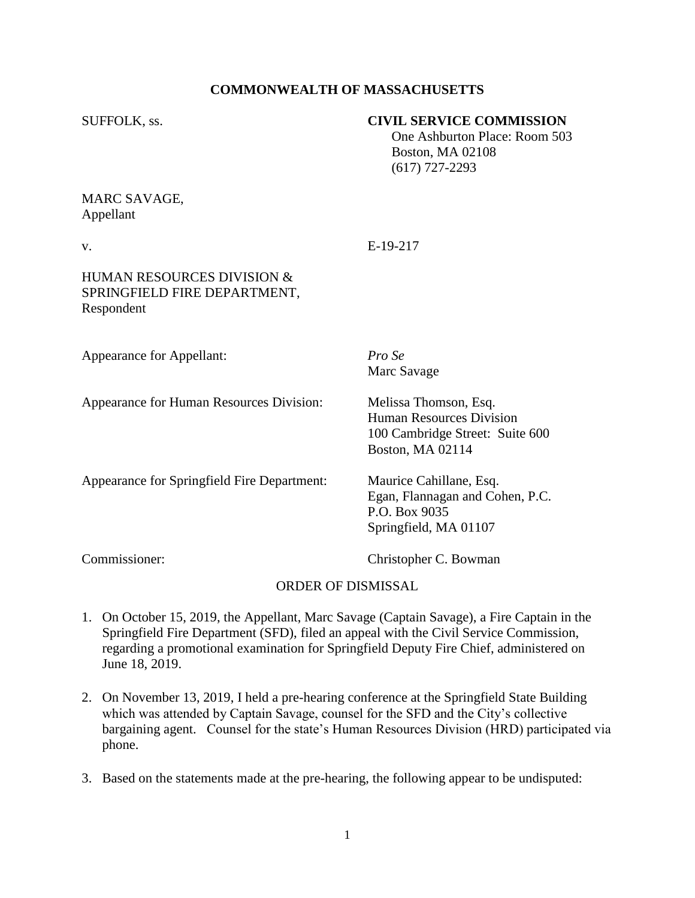## **COMMONWEALTH OF MASSACHUSETTS**

### SUFFOLK, ss. **CIVIL SERVICE COMMISSION**

 One Ashburton Place: Room 503 Boston, MA 02108 (617) 727-2293

# MARC SAVAGE, Appellant

v. E-19-217

## HUMAN RESOURCES DIVISION & SPRINGFIELD FIRE DEPARTMENT, Respondent

| <b>Appearance for Appellant:</b>            | Pro Se<br>Marc Savage                                                                                    |
|---------------------------------------------|----------------------------------------------------------------------------------------------------------|
| Appearance for Human Resources Division:    | Melissa Thomson, Esq.<br>Human Resources Division<br>100 Cambridge Street: Suite 600<br>Boston, MA 02114 |
| Appearance for Springfield Fire Department: | Maurice Cahillane, Esq.<br>Egan, Flannagan and Cohen, P.C.<br>P.O. Box 9035<br>Springfield, MA 01107     |

Commissioner: Christopher C. Bowman

### ORDER OF DISMISSAL

- 1. On October 15, 2019, the Appellant, Marc Savage (Captain Savage), a Fire Captain in the Springfield Fire Department (SFD), filed an appeal with the Civil Service Commission, regarding a promotional examination for Springfield Deputy Fire Chief, administered on June 18, 2019.
- 2. On November 13, 2019, I held a pre-hearing conference at the Springfield State Building which was attended by Captain Savage, counsel for the SFD and the City's collective bargaining agent. Counsel for the state's Human Resources Division (HRD) participated via phone.
- 3. Based on the statements made at the pre-hearing, the following appear to be undisputed: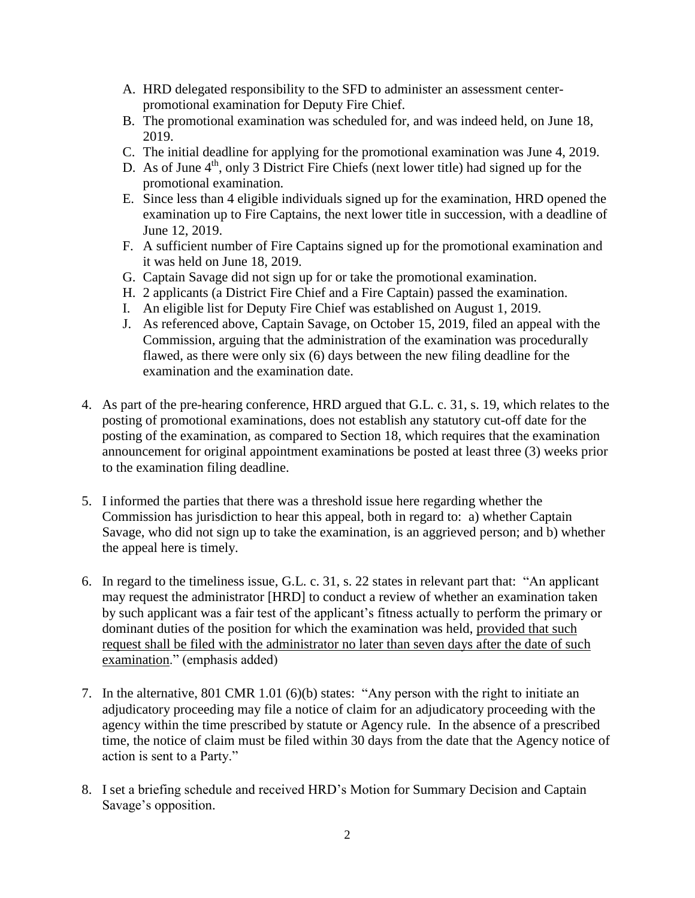- A. HRD delegated responsibility to the SFD to administer an assessment centerpromotional examination for Deputy Fire Chief.
- B. The promotional examination was scheduled for, and was indeed held, on June 18, 2019.
- C. The initial deadline for applying for the promotional examination was June 4, 2019.
- D. As of June  $4<sup>th</sup>$ , only 3 District Fire Chiefs (next lower title) had signed up for the promotional examination.
- E. Since less than 4 eligible individuals signed up for the examination, HRD opened the examination up to Fire Captains, the next lower title in succession, with a deadline of June 12, 2019.
- F. A sufficient number of Fire Captains signed up for the promotional examination and it was held on June 18, 2019.
- G. Captain Savage did not sign up for or take the promotional examination.
- H. 2 applicants (a District Fire Chief and a Fire Captain) passed the examination.
- I. An eligible list for Deputy Fire Chief was established on August 1, 2019.
- J. As referenced above, Captain Savage, on October 15, 2019, filed an appeal with the Commission, arguing that the administration of the examination was procedurally flawed, as there were only six (6) days between the new filing deadline for the examination and the examination date.
- 4. As part of the pre-hearing conference, HRD argued that G.L. c. 31, s. 19, which relates to the posting of promotional examinations, does not establish any statutory cut-off date for the posting of the examination, as compared to Section 18, which requires that the examination announcement for original appointment examinations be posted at least three (3) weeks prior to the examination filing deadline.
- 5. I informed the parties that there was a threshold issue here regarding whether the Commission has jurisdiction to hear this appeal, both in regard to: a) whether Captain Savage, who did not sign up to take the examination, is an aggrieved person; and b) whether the appeal here is timely.
- 6. In regard to the timeliness issue, G.L. c. 31, s. 22 states in relevant part that: "An applicant may request the administrator [HRD] to conduct a review of whether an examination taken by such applicant was a fair test of the applicant's fitness actually to perform the primary or dominant duties of the position for which the examination was held, provided that such request shall be filed with the administrator no later than seven days after the date of such examination." (emphasis added)
- 7. In the alternative, 801 CMR 1.01 (6)(b) states: "Any person with the right to initiate an adjudicatory proceeding may file a notice of claim for an adjudicatory proceeding with the agency within the time prescribed by statute or Agency rule. In the absence of a prescribed time, the notice of claim must be filed within 30 days from the date that the Agency notice of action is sent to a Party."
- 8. I set a briefing schedule and received HRD's Motion for Summary Decision and Captain Savage's opposition.